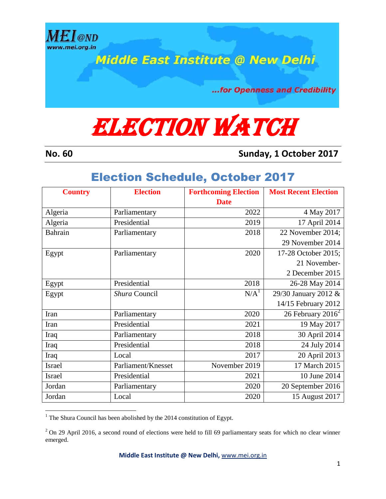

**Middle East Institute @ New Delhi** 

...for Openness and Credibility

## **ELECTION WATCH**

 $\overline{a}$ 

**No. 60 Sunday, 1 October 2017**

## Election Schedule, October 2017

| <b>Country</b> | <b>Election</b>    | <b>Forthcoming Election</b> | <b>Most Recent Election</b>   |
|----------------|--------------------|-----------------------------|-------------------------------|
|                |                    | <b>Date</b>                 |                               |
| Algeria        | Parliamentary      | 2022                        | 4 May 2017                    |
| Algeria        | Presidential       | 2019                        | 17 April 2014                 |
| Bahrain        | Parliamentary      | 2018                        | 22 November 2014;             |
|                |                    |                             | 29 November 2014              |
| Egypt          | Parliamentary      | 2020                        | 17-28 October 2015;           |
|                |                    |                             | 21 November-                  |
|                |                    |                             | 2 December 2015               |
| Egypt          | Presidential       | 2018                        | 26-28 May 2014                |
| Egypt          | Shura Council      | N/A <sup>1</sup>            | 29/30 January 2012 &          |
|                |                    |                             | 14/15 February 2012           |
| Iran           | Parliamentary      | 2020                        | 26 February 2016 <sup>2</sup> |
| Iran           | Presidential       | 2021                        | 19 May 2017                   |
| Iraq           | Parliamentary      | 2018                        | 30 April 2014                 |
| Iraq           | Presidential       | 2018                        | 24 July 2014                  |
| Iraq           | Local              | 2017                        | 20 April 2013                 |
| <b>Israel</b>  | Parliament/Knesset | November 2019               | 17 March 2015                 |
| <b>Israel</b>  | Presidential       | 2021                        | 10 June 2014                  |
| Jordan         | Parliamentary      | 2020                        | 20 September 2016             |
| Jordan         | Local              | 2020                        | 15 August 2017                |

 $1$  The Shura Council has been abolished by the 2014 constitution of Egypt.

 $2$  On 29 April 2016, a second round of elections were held to fill 69 parliamentary seats for which no clear winner emerged.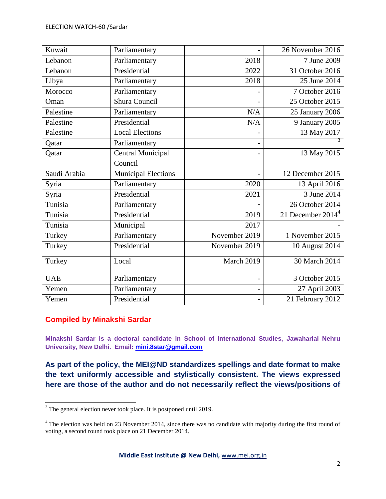| Kuwait       | Parliamentary              |               | 26 November 2016    |
|--------------|----------------------------|---------------|---------------------|
| Lebanon      | Parliamentary              | 2018          | 7 June 2009         |
| Lebanon      | Presidential               | 2022          | 31 October 2016     |
| Libya        | Parliamentary              | 2018          | 25 June 2014        |
| Morocco      | Parliamentary              |               | 7 October 2016      |
| Oman         | Shura Council              |               | 25 October 2015     |
| Palestine    | Parliamentary              | N/A           | 25 January 2006     |
| Palestine    | Presidential               | N/A           | 9 January 2005      |
| Palestine    | <b>Local Elections</b>     |               | 13 May 2017         |
| Qatar        | Parliamentary              |               |                     |
| Qatar        | <b>Central Municipal</b>   |               | 13 May 2015         |
|              | Council                    |               |                     |
| Saudi Arabia | <b>Municipal Elections</b> |               | 12 December 2015    |
| Syria        | Parliamentary              | 2020          | 13 April 2016       |
| Syria        | Presidential               | 2021          | 3 June 2014         |
| Tunisia      | Parliamentary              |               | $26$ October 2014   |
| Tunisia      | Presidential               | 2019          | 21 December $20144$ |
| Tunisia      | Municipal                  | 2017          |                     |
| Turkey       | Parliamentary              | November 2019 | 1 November 2015     |
| Turkey       | Presidential               | November 2019 | 10 August 2014      |
| Turkey       | Local                      | March 2019    | 30 March 2014       |
| <b>UAE</b>   | Parliamentary              |               | 3 October 2015      |
| Yemen        | Parliamentary              |               | 27 April 2003       |
| Yemen        | Presidential               |               | 21 February 2012    |

## **Compiled by Minakshi Sardar**

 $\overline{a}$ 

**Minakshi Sardar is a doctoral candidate in School of International Studies, Jawaharlal Nehru University, New Delhi. Email: [mini.8star@gmail.com](mailto:mini.8star@gmail.com)**

**As part of the policy, the MEI@ND standardizes spellings and date format to make the text uniformly accessible and stylistically consistent. The views expressed here are those of the author and do not necessarily reflect the views/positions of** 

 $3$  The general election never took place. It is postponed until 2019.

<sup>&</sup>lt;sup>4</sup> The election was held on 23 November 2014, since there was no candidate with majority during the first round of voting, a second round took place on 21 December 2014.